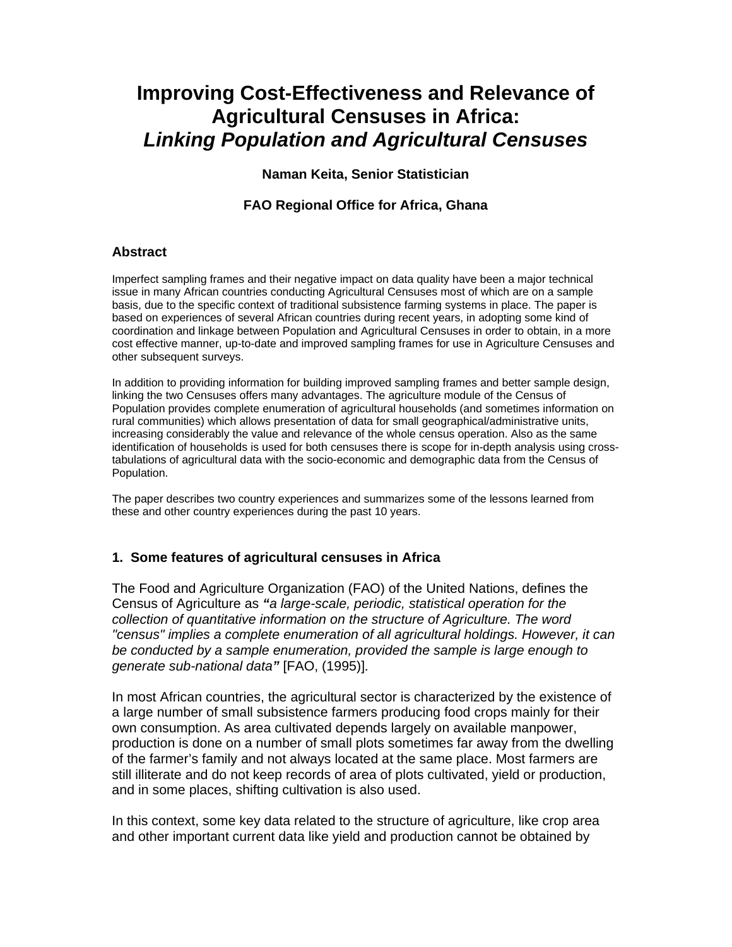# **Improving Cost-Effectiveness and Relevance of Agricultural Censuses in Africa:**  *Linking Population and Agricultural Censuses*

## **Naman Keita, Senior Statistician**

# **FAO Regional Office for Africa, Ghana**

## **Abstract**

Imperfect sampling frames and their negative impact on data quality have been a major technical issue in many African countries conducting Agricultural Censuses most of which are on a sample basis, due to the specific context of traditional subsistence farming systems in place. The paper is based on experiences of several African countries during recent years, in adopting some kind of coordination and linkage between Population and Agricultural Censuses in order to obtain, in a more cost effective manner, up-to-date and improved sampling frames for use in Agriculture Censuses and other subsequent surveys.

In addition to providing information for building improved sampling frames and better sample design, linking the two Censuses offers many advantages. The agriculture module of the Census of Population provides complete enumeration of agricultural households (and sometimes information on rural communities) which allows presentation of data for small geographical/administrative units, increasing considerably the value and relevance of the whole census operation. Also as the same identification of households is used for both censuses there is scope for in-depth analysis using crosstabulations of agricultural data with the socio-economic and demographic data from the Census of Population.

The paper describes two country experiences and summarizes some of the lessons learned from these and other country experiences during the past 10 years.

#### **1. Some features of agricultural censuses in Africa**

The Food and Agriculture Organization (FAO) of the United Nations, defines the Census of Agriculture as *"a large-scale, periodic, statistical operation for the collection of quantitative information on the structure of Agriculture. The word "census" implies a complete enumeration of all agricultural holdings. However, it can be conducted by a sample enumeration, provided the sample is large enough to generate sub-national data"* [FAO, (1995)].

In most African countries, the agricultural sector is characterized by the existence of a large number of small subsistence farmers producing food crops mainly for their own consumption. As area cultivated depends largely on available manpower, production is done on a number of small plots sometimes far away from the dwelling of the farmer's family and not always located at the same place. Most farmers are still illiterate and do not keep records of area of plots cultivated, yield or production, and in some places, shifting cultivation is also used.

In this context, some key data related to the structure of agriculture, like crop area and other important current data like yield and production cannot be obtained by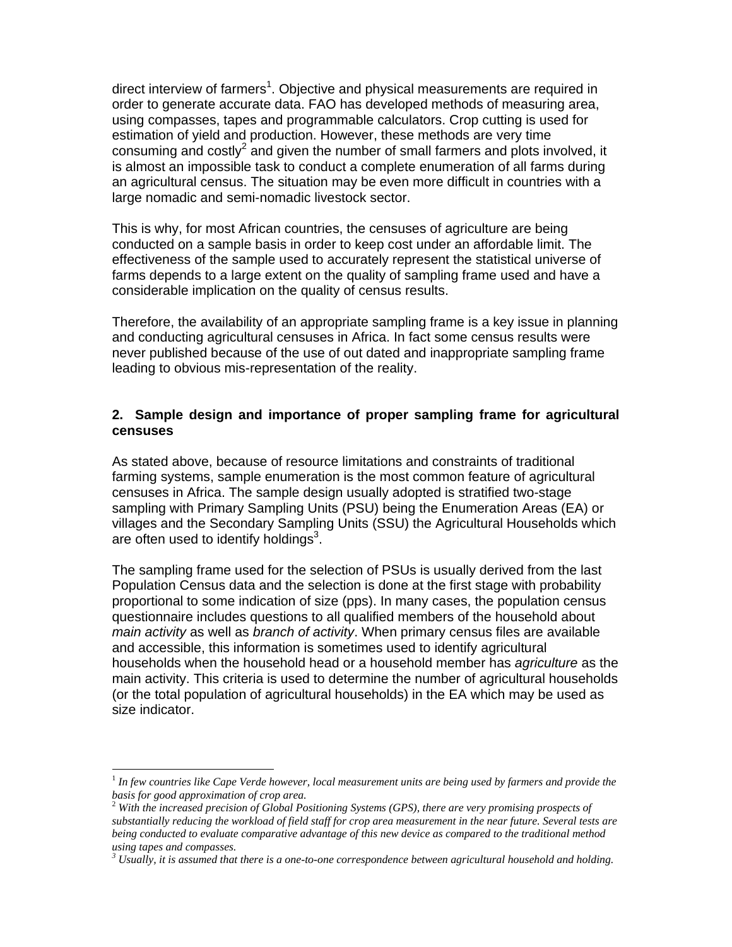direct interview of farmers<sup>1</sup>. Objective and physical measurements are required in order to generate accurate data. FAO has developed methods of measuring area, using compasses, tapes and programmable calculators. Crop cutting is used for estimation of yield and production. However, these methods are very time consuming and costly<sup>2</sup> and given the number of small farmers and plots involved, it is almost an impossible task to conduct a complete enumeration of all farms during an agricultural census. The situation may be even more difficult in countries with a large nomadic and semi-nomadic livestock sector.

This is why, for most African countries, the censuses of agriculture are being conducted on a sample basis in order to keep cost under an affordable limit. The effectiveness of the sample used to accurately represent the statistical universe of farms depends to a large extent on the quality of sampling frame used and have a considerable implication on the quality of census results.

Therefore, the availability of an appropriate sampling frame is a key issue in planning and conducting agricultural censuses in Africa. In fact some census results were never published because of the use of out dated and inappropriate sampling frame leading to obvious mis-representation of the reality.

## **2. Sample design and importance of proper sampling frame for agricultural censuses**

As stated above, because of resource limitations and constraints of traditional farming systems, sample enumeration is the most common feature of agricultural censuses in Africa. The sample design usually adopted is stratified two-stage sampling with Primary Sampling Units (PSU) being the Enumeration Areas (EA) or villages and the Secondary Sampling Units (SSU) the Agricultural Households which are often used to identify holdings $3$ .

The sampling frame used for the selection of PSUs is usually derived from the last Population Census data and the selection is done at the first stage with probability proportional to some indication of size (pps). In many cases, the population census questionnaire includes questions to all qualified members of the household about *main activity* as well as *branch of activity*. When primary census files are available and accessible, this information is sometimes used to identify agricultural households when the household head or a household member has *agriculture* as the main activity. This criteria is used to determine the number of agricultural households (or the total population of agricultural households) in the EA which may be used as size indicator.

-

<sup>1</sup> *In few countries like Cape Verde however, local measurement units are being used by farmers and provide the basis for good approximation of crop area.* 2 *With the increased precision of Global Positioning Systems (GPS), there are very promising prospects of* 

*substantially reducing the workload of field staff for crop area measurement in the near future. Several tests are being conducted to evaluate comparative advantage of this new device as compared to the traditional method using tapes and compasses.*

<sup>&</sup>lt;sup>3</sup> Usually, it is assumed that there is a one-to-one correspondence between agricultural household and holding.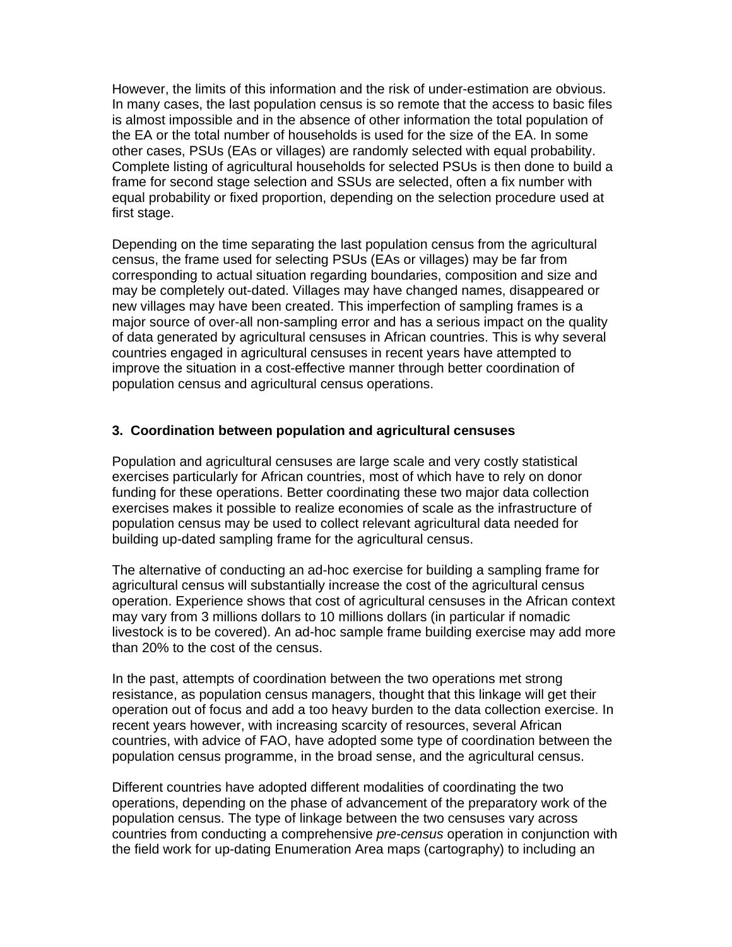However, the limits of this information and the risk of under-estimation are obvious. In many cases, the last population census is so remote that the access to basic files is almost impossible and in the absence of other information the total population of the EA or the total number of households is used for the size of the EA. In some other cases, PSUs (EAs or villages) are randomly selected with equal probability. Complete listing of agricultural households for selected PSUs is then done to build a frame for second stage selection and SSUs are selected, often a fix number with equal probability or fixed proportion, depending on the selection procedure used at first stage.

Depending on the time separating the last population census from the agricultural census, the frame used for selecting PSUs (EAs or villages) may be far from corresponding to actual situation regarding boundaries, composition and size and may be completely out-dated. Villages may have changed names, disappeared or new villages may have been created. This imperfection of sampling frames is a major source of over-all non-sampling error and has a serious impact on the quality of data generated by agricultural censuses in African countries. This is why several countries engaged in agricultural censuses in recent years have attempted to improve the situation in a cost-effective manner through better coordination of population census and agricultural census operations.

## **3. Coordination between population and agricultural censuses**

Population and agricultural censuses are large scale and very costly statistical exercises particularly for African countries, most of which have to rely on donor funding for these operations. Better coordinating these two major data collection exercises makes it possible to realize economies of scale as the infrastructure of population census may be used to collect relevant agricultural data needed for building up-dated sampling frame for the agricultural census.

The alternative of conducting an ad-hoc exercise for building a sampling frame for agricultural census will substantially increase the cost of the agricultural census operation. Experience shows that cost of agricultural censuses in the African context may vary from 3 millions dollars to 10 millions dollars (in particular if nomadic livestock is to be covered). An ad-hoc sample frame building exercise may add more than 20% to the cost of the census.

In the past, attempts of coordination between the two operations met strong resistance, as population census managers, thought that this linkage will get their operation out of focus and add a too heavy burden to the data collection exercise. In recent years however, with increasing scarcity of resources, several African countries, with advice of FAO, have adopted some type of coordination between the population census programme, in the broad sense, and the agricultural census.

Different countries have adopted different modalities of coordinating the two operations, depending on the phase of advancement of the preparatory work of the population census. The type of linkage between the two censuses vary across countries from conducting a comprehensive *pre-census* operation in conjunction with the field work for up-dating Enumeration Area maps (cartography) to including an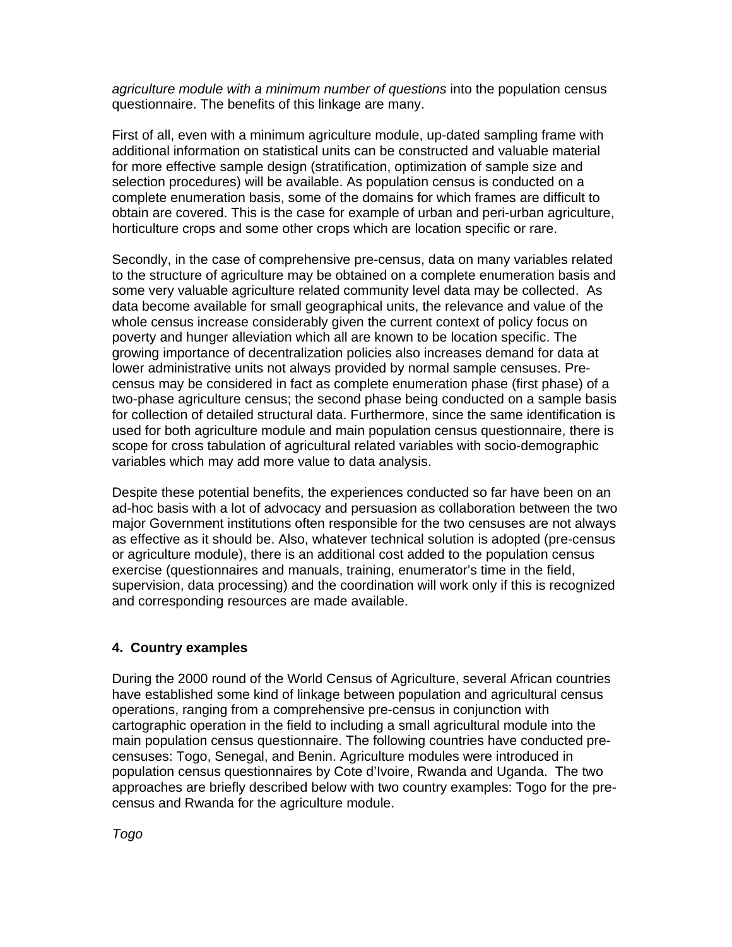*agriculture module with a minimum number of questions* into the population census questionnaire. The benefits of this linkage are many.

First of all, even with a minimum agriculture module, up-dated sampling frame with additional information on statistical units can be constructed and valuable material for more effective sample design (stratification, optimization of sample size and selection procedures) will be available. As population census is conducted on a complete enumeration basis, some of the domains for which frames are difficult to obtain are covered. This is the case for example of urban and peri-urban agriculture, horticulture crops and some other crops which are location specific or rare.

Secondly, in the case of comprehensive pre-census, data on many variables related to the structure of agriculture may be obtained on a complete enumeration basis and some very valuable agriculture related community level data may be collected. As data become available for small geographical units, the relevance and value of the whole census increase considerably given the current context of policy focus on poverty and hunger alleviation which all are known to be location specific. The growing importance of decentralization policies also increases demand for data at lower administrative units not always provided by normal sample censuses. Precensus may be considered in fact as complete enumeration phase (first phase) of a two-phase agriculture census; the second phase being conducted on a sample basis for collection of detailed structural data. Furthermore, since the same identification is used for both agriculture module and main population census questionnaire, there is scope for cross tabulation of agricultural related variables with socio-demographic variables which may add more value to data analysis.

Despite these potential benefits, the experiences conducted so far have been on an ad-hoc basis with a lot of advocacy and persuasion as collaboration between the two major Government institutions often responsible for the two censuses are not always as effective as it should be. Also, whatever technical solution is adopted (pre-census or agriculture module), there is an additional cost added to the population census exercise (questionnaires and manuals, training, enumerator's time in the field, supervision, data processing) and the coordination will work only if this is recognized and corresponding resources are made available.

# **4. Country examples**

During the 2000 round of the World Census of Agriculture, several African countries have established some kind of linkage between population and agricultural census operations, ranging from a comprehensive pre-census in conjunction with cartographic operation in the field to including a small agricultural module into the main population census questionnaire. The following countries have conducted precensuses: Togo, Senegal, and Benin. Agriculture modules were introduced in population census questionnaires by Cote d'Ivoire, Rwanda and Uganda. The two approaches are briefly described below with two country examples: Togo for the precensus and Rwanda for the agriculture module.

*Togo*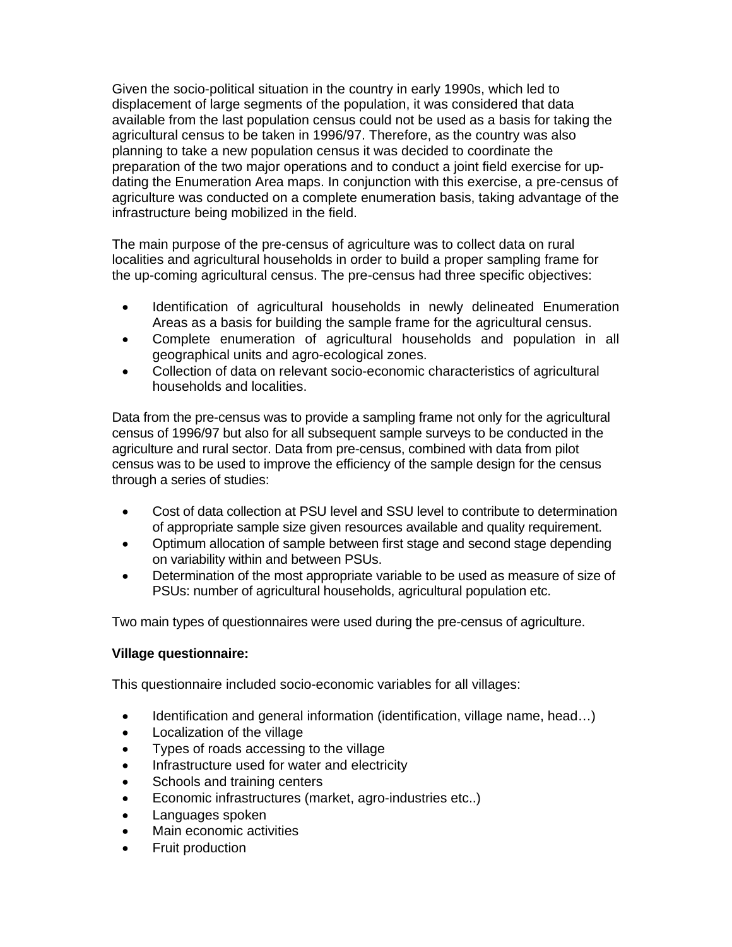Given the socio-political situation in the country in early 1990s, which led to displacement of large segments of the population, it was considered that data available from the last population census could not be used as a basis for taking the agricultural census to be taken in 1996/97. Therefore, as the country was also planning to take a new population census it was decided to coordinate the preparation of the two major operations and to conduct a joint field exercise for updating the Enumeration Area maps. In conjunction with this exercise, a pre-census of agriculture was conducted on a complete enumeration basis, taking advantage of the infrastructure being mobilized in the field.

The main purpose of the pre-census of agriculture was to collect data on rural localities and agricultural households in order to build a proper sampling frame for the up-coming agricultural census. The pre-census had three specific objectives:

- Identification of agricultural households in newly delineated Enumeration Areas as a basis for building the sample frame for the agricultural census.
- Complete enumeration of agricultural households and population in all geographical units and agro-ecological zones.
- Collection of data on relevant socio-economic characteristics of agricultural households and localities.

Data from the pre-census was to provide a sampling frame not only for the agricultural census of 1996/97 but also for all subsequent sample surveys to be conducted in the agriculture and rural sector. Data from pre-census, combined with data from pilot census was to be used to improve the efficiency of the sample design for the census through a series of studies:

- Cost of data collection at PSU level and SSU level to contribute to determination of appropriate sample size given resources available and quality requirement.
- Optimum allocation of sample between first stage and second stage depending on variability within and between PSUs.
- Determination of the most appropriate variable to be used as measure of size of PSUs: number of agricultural households, agricultural population etc.

Two main types of questionnaires were used during the pre-census of agriculture.

# **Village questionnaire:**

This questionnaire included socio-economic variables for all villages:

- Identification and general information (identification, village name, head…)
- Localization of the village
- Types of roads accessing to the village
- Infrastructure used for water and electricity
- Schools and training centers
- Economic infrastructures (market, agro-industries etc..)
- Languages spoken
- Main economic activities
- Fruit production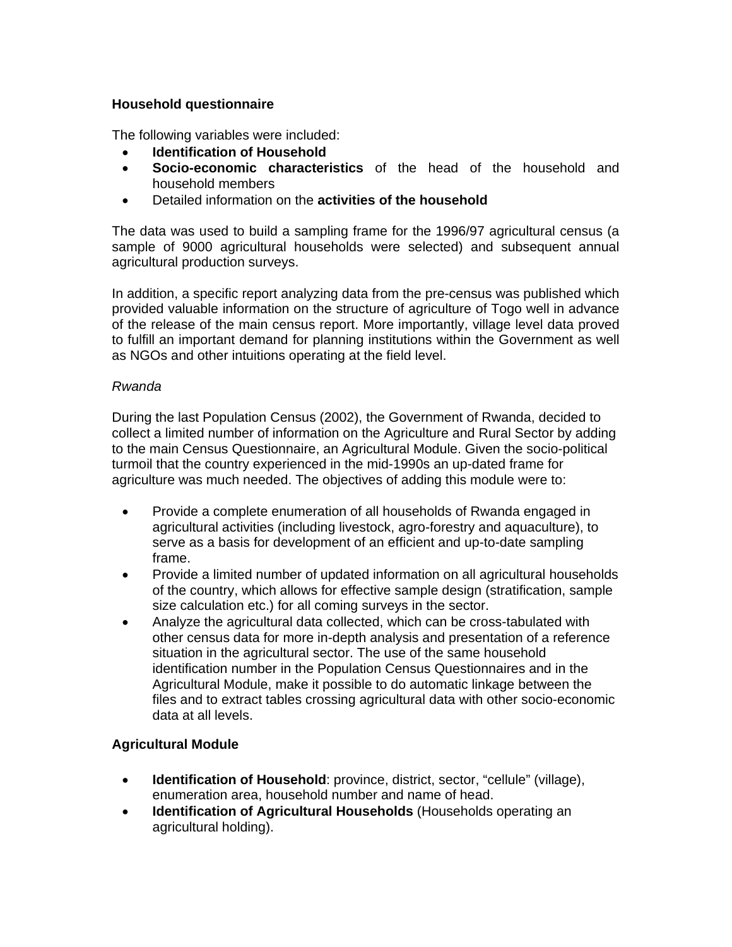# **Household questionnaire**

The following variables were included:

- **Identification of Household**
- **Socio-economic characteristics** of the head of the household and household members
- Detailed information on the **activities of the household**

The data was used to build a sampling frame for the 1996/97 agricultural census (a sample of 9000 agricultural households were selected) and subsequent annual agricultural production surveys.

In addition, a specific report analyzing data from the pre-census was published which provided valuable information on the structure of agriculture of Togo well in advance of the release of the main census report. More importantly, village level data proved to fulfill an important demand for planning institutions within the Government as well as NGOs and other intuitions operating at the field level.

# *Rwanda*

During the last Population Census (2002), the Government of Rwanda, decided to collect a limited number of information on the Agriculture and Rural Sector by adding to the main Census Questionnaire, an Agricultural Module. Given the socio-political turmoil that the country experienced in the mid-1990s an up-dated frame for agriculture was much needed. The objectives of adding this module were to:

- Provide a complete enumeration of all households of Rwanda engaged in agricultural activities (including livestock, agro-forestry and aquaculture), to serve as a basis for development of an efficient and up-to-date sampling frame.
- Provide a limited number of updated information on all agricultural households of the country, which allows for effective sample design (stratification, sample size calculation etc.) for all coming surveys in the sector.
- Analyze the agricultural data collected, which can be cross-tabulated with other census data for more in-depth analysis and presentation of a reference situation in the agricultural sector. The use of the same household identification number in the Population Census Questionnaires and in the Agricultural Module, make it possible to do automatic linkage between the files and to extract tables crossing agricultural data with other socio-economic data at all levels.

# **Agricultural Module**

- **Identification of Household**: province, district, sector, "cellule" (village), enumeration area, household number and name of head.
- **Identification of Agricultural Households** (Households operating an agricultural holding).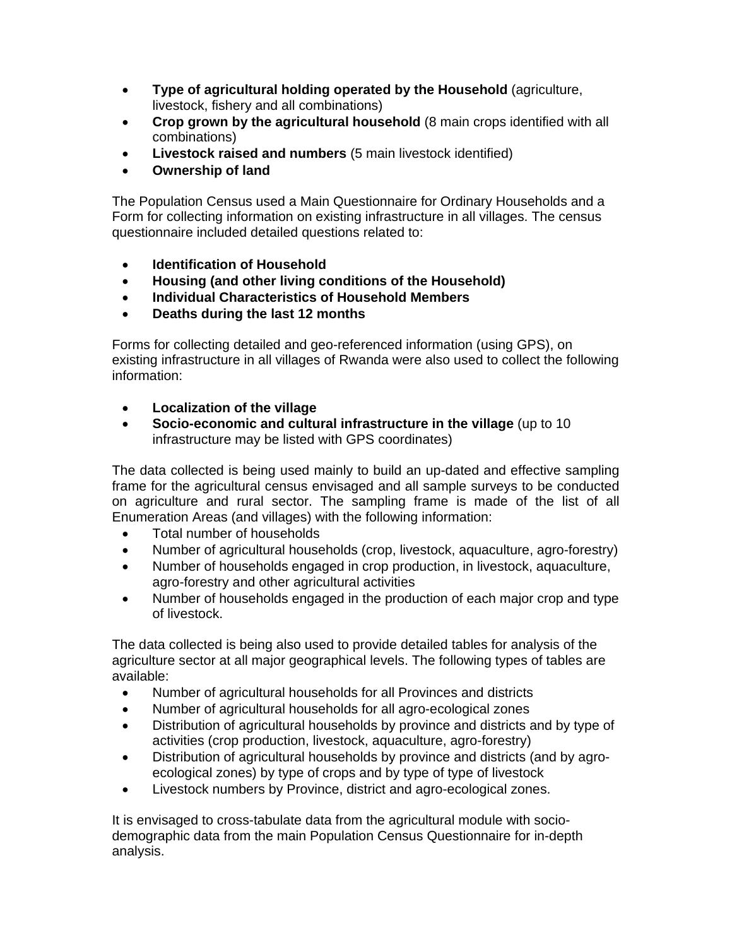- **Type of agricultural holding operated by the Household** (agriculture, livestock, fishery and all combinations)
- **Crop grown by the agricultural household** (8 main crops identified with all combinations)
- **Livestock raised and numbers** (5 main livestock identified)
- **Ownership of land**

The Population Census used a Main Questionnaire for Ordinary Households and a Form for collecting information on existing infrastructure in all villages. The census questionnaire included detailed questions related to:

- **Identification of Household**
- **Housing (and other living conditions of the Household)**
- **Individual Characteristics of Household Members**
- **Deaths during the last 12 months**

Forms for collecting detailed and geo-referenced information (using GPS), on existing infrastructure in all villages of Rwanda were also used to collect the following information:

- **Localization of the village**
- **Socio-economic and cultural infrastructure in the village** (up to 10 infrastructure may be listed with GPS coordinates)

The data collected is being used mainly to build an up-dated and effective sampling frame for the agricultural census envisaged and all sample surveys to be conducted on agriculture and rural sector. The sampling frame is made of the list of all Enumeration Areas (and villages) with the following information:

- Total number of households
- Number of agricultural households (crop, livestock, aquaculture, agro-forestry)
- Number of households engaged in crop production, in livestock, aquaculture, agro-forestry and other agricultural activities
- Number of households engaged in the production of each major crop and type of livestock.

The data collected is being also used to provide detailed tables for analysis of the agriculture sector at all major geographical levels. The following types of tables are available:

- Number of agricultural households for all Provinces and districts
- Number of agricultural households for all agro-ecological zones
- Distribution of agricultural households by province and districts and by type of activities (crop production, livestock, aquaculture, agro-forestry)
- Distribution of agricultural households by province and districts (and by agroecological zones) by type of crops and by type of type of livestock
- Livestock numbers by Province, district and agro-ecological zones.

It is envisaged to cross-tabulate data from the agricultural module with sociodemographic data from the main Population Census Questionnaire for in-depth analysis.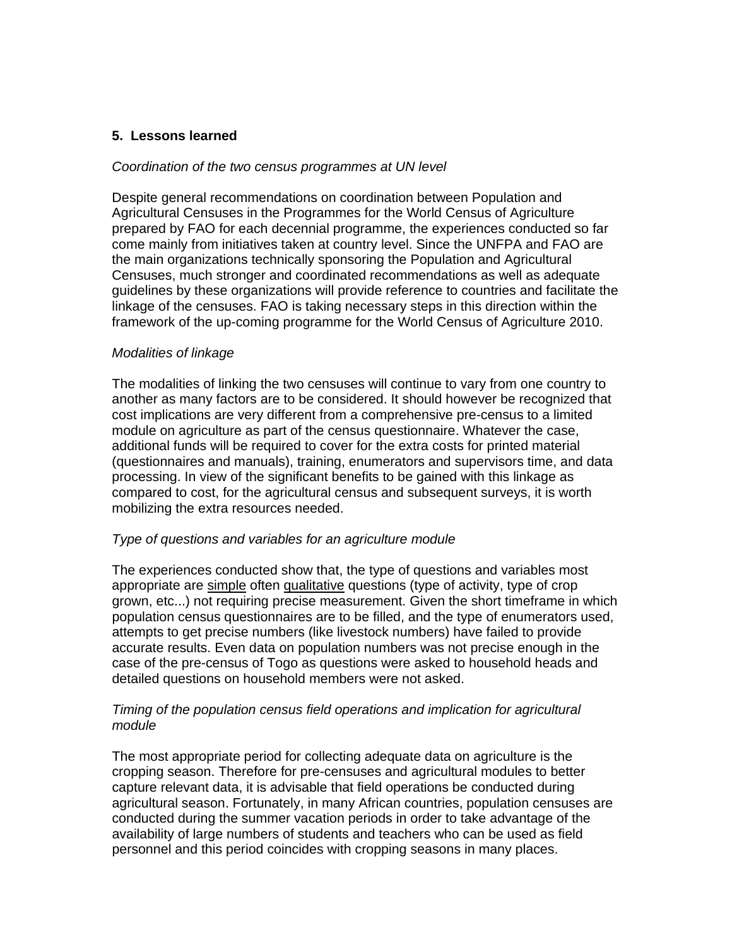# **5. Lessons learned**

## *Coordination of the two census programmes at UN level*

Despite general recommendations on coordination between Population and Agricultural Censuses in the Programmes for the World Census of Agriculture prepared by FAO for each decennial programme, the experiences conducted so far come mainly from initiatives taken at country level. Since the UNFPA and FAO are the main organizations technically sponsoring the Population and Agricultural Censuses, much stronger and coordinated recommendations as well as adequate guidelines by these organizations will provide reference to countries and facilitate the linkage of the censuses. FAO is taking necessary steps in this direction within the framework of the up-coming programme for the World Census of Agriculture 2010.

## *Modalities of linkage*

The modalities of linking the two censuses will continue to vary from one country to another as many factors are to be considered. It should however be recognized that cost implications are very different from a comprehensive pre-census to a limited module on agriculture as part of the census questionnaire. Whatever the case, additional funds will be required to cover for the extra costs for printed material (questionnaires and manuals), training, enumerators and supervisors time, and data processing. In view of the significant benefits to be gained with this linkage as compared to cost, for the agricultural census and subsequent surveys, it is worth mobilizing the extra resources needed.

# *Type of questions and variables for an agriculture module*

The experiences conducted show that, the type of questions and variables most appropriate are simple often qualitative questions (type of activity, type of crop grown, etc...) not requiring precise measurement. Given the short timeframe in which population census questionnaires are to be filled, and the type of enumerators used, attempts to get precise numbers (like livestock numbers) have failed to provide accurate results. Even data on population numbers was not precise enough in the case of the pre-census of Togo as questions were asked to household heads and detailed questions on household members were not asked.

## *Timing of the population census field operations and implication for agricultural module*

The most appropriate period for collecting adequate data on agriculture is the cropping season. Therefore for pre-censuses and agricultural modules to better capture relevant data, it is advisable that field operations be conducted during agricultural season. Fortunately, in many African countries, population censuses are conducted during the summer vacation periods in order to take advantage of the availability of large numbers of students and teachers who can be used as field personnel and this period coincides with cropping seasons in many places.